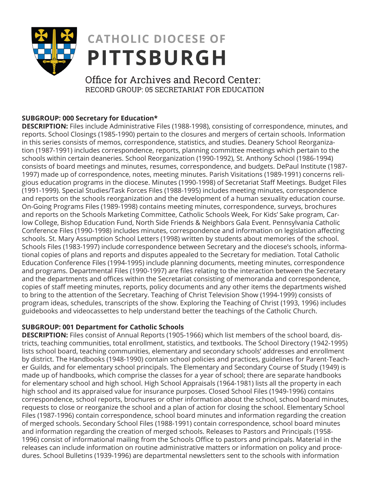

# **CATHOLIC DIOCESE OF PITTSBURGH**

Office for Archives and Record Center: RECORD GROUP: 05 SECRETARIAT FOR EDUCATION

## **SUBGROUP: 000 Secretary for Education\***

**DESCRIPTION:** Files include Administrative Files (1988-1998), consisting of correspondence, minutes, and reports. School Closings (1985-1990) pertain to the closures and mergers of certain schools. Information in this series consists of memos, correspondence, statistics, and studies. Deanery School Reorganization (1987-1991) includes correspondence, reports, planning committee meetings which pertain to the schools within certain deaneries. School Reorganization (1990-1992), St. Anthony School (1986-1994) consists of board meetings and minutes, resumes, correspondence, and budgets. DePaul Institute (1987- 1997) made up of correspondence, notes, meeting minutes. Parish Visitations (1989-1991) concerns religious education programs in the diocese. Minutes (1990-1998) of Secretariat Staff Meetings. Budget Files (1991-1999). Special Studies/Task Forces Files (1988-1995) includes meeting minutes, correspondence and reports on the schools reorganization and the development of a human sexuality education course. On-Going Programs Files (1989-1998) contains meeting minutes, correspondence, surveys, brochures and reports on the Schools Marketing Committee, Catholic Schools Week, For Kids' Sake program, Carlow College, Bishop Education Fund, North Side Friends & Neighbors Gala Event. Pennsylvania Catholic Conference Files (1990-1998) includes minutes, correspondence and information on legislation affecting schools. St. Mary Assumption School Letters (1998) written by students about memories of the school. Schools Files (1983-1997) include correspondence between Secretary and the diocese's schools, informational copies of plans and reports and disputes appealed to the Secretary for mediation. Total Catholic Education Conference Files (1994-1995) include planning documents, meeting minutes, correspondence and programs. Departmental Files (1990-1997) are files relating to the interaction between the Secretary and the departments and offices within the Secretariat consisting of memoranda and correspondence, copies of staff meeting minutes, reports, policy documents and any other items the departments wished to bring to the attention of the Secretary. Teaching of Christ Television Show (1994-1999) consists of program ideas, schedules, transcripts of the show. Exploring the Teaching of Christ (1993, 1996) includes guidebooks and videocassettes to help understand better the teachings of the Catholic Church.

## **SUBGROUP: 001 Department for Catholic Schools**

**DESCRIPTION:** Files consist of Annual Reports (1905-1966) which list members of the school board, districts, teaching communities, total enrollment, statistics, and textbooks. The School Directory (1942-1995) lists school board, teaching communities, elementary and secondary schools' addresses and enrollment by district. The Handbooks (1948-1990) contain school policies and practices, guidelines for Parent-Teacher Guilds, and for elementary school principals. The Elementary and Secondary Course of Study (1949) is made up of handbooks, which comprise the classes for a year of school; there are separate handbooks for elementary school and high school. High School Appraisals (1964-1981) lists all the property in each high school and its appraised value for insurance purposes. Closed School Files (1949-1996) contains correspondence, school reports, brochures or other information about the school, school board minutes, requests to close or reorganize the school and a plan of action for closing the school. Elementary School Files (1987-1996) contain correspondence, school board minutes and information regarding the creation of merged schools. Secondary School Files (1988-1991) contain correspondence, school board minutes and information regarding the creation of merged schools. Releases to Pastors and Principals (1958- 1996) consist of informational mailing from the Schools Office to pastors and principals. Material in the releases can include information on routine administrative matters or information on policy and procedures. School Bulletins (1939-1996) are departmental newsletters sent to the schools with information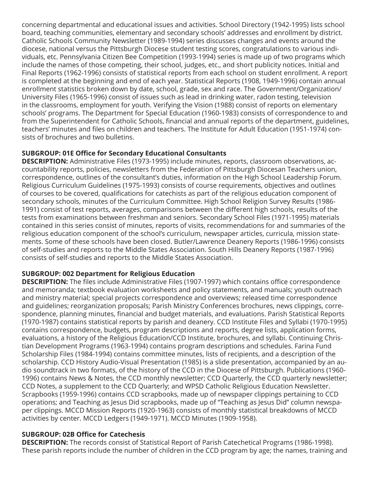concerning departmental and educational issues and activities. School Directory (1942-1995) lists school board, teaching communities, elementary and secondary schools' addresses and enrollment by district. Catholic Schools Community Newsletter (1989-1994) series discusses changes and events around the diocese, national versus the Pittsburgh Diocese student testing scores, congratulations to various individuals, etc. Pennsylvania Citizen Bee Competition (1993-1994) series is made up of two programs which include the names of those competing, their school, judges, etc., and short publicity notices. Initial and Final Reports (1962-1996) consists of statistical reports from each school on student enrollment. A report is completed at the beginning and end of each year. Statistical Reports (1908, 1949-1996) contain annual enrollment statistics broken down by date, school, grade, sex and race. The Government/Organization/ University Files (1965-1996) consist of issues such as lead in drinking water, radon testing, television in the classrooms, employment for youth. Verifying the Vision (1988) consist of reports on elementary schools' programs. The Department for Special Education (1960-1983) consists of correspondence to and from the Superintendent for Catholic Schools, financial and annual reports of the department, guidelines, teachers' minutes and files on children and teachers. The Institute for Adult Education (1951-1974) consists of brochures and two bulletins.

## **SUBGROUP: 01E Office for Secondary Educational Consultants**

**DESCRIPTION:** Administrative Files (1973-1995) include minutes, reports, classroom observations, accountability reports, policies, newsletters from the Federation of Pittsburgh Diocesan Teachers union, correspondence, outlines of the consultant's duties, information on the High School Leadership Forum. Religious Curriculum Guidelines (1975-1993) consists of course requirements, objectives and outlines of courses to be covered, qualifications for catechists as part of the religious education component of secondary schools, minutes of the Curriculum Committee. High School Religion Survey Results (1986- 1991) consist of test reports, averages, comparisons between the different high schools, results of the tests from examinations between freshman and seniors. Secondary School Files (1971-1995) materials contained in this series consist of minutes, reports of visits, recommendations for and summaries of the religious education component of the school's curriculum, newspaper articles, curricula, mission statements. Some of these schools have been closed. Butler/Lawrence Deanery Reports (1986-1996) consists of self-studies and reports to the Middle States Association. South Hills Deanery Reports (1987-1996) consists of self-studies and reports to the Middle States Association.

#### **SUBGROUP: 002 Department for Religious Education**

**DESCRIPTION:** The files include Administrative Files (1907-1997) which contains office correspondence and memoranda; textbook evaluation worksheets and policy statements, and manuals; youth outreach and ministry material; special projects correspondence and overviews; released time correspondence and guidelines; reorganization proposals; Parish Ministry Conferences brochures, news clippings, correspondence, planning minutes, financial and budget materials, and evaluations. Parish Statistical Reports (1970-1987) contains statistical reports by parish and deanery. CCD Institute Files and Syllabi (1970-1995) contains correspondence, budgets, program descriptions and reports, degree lists, application forms, evaluations, a history of the Religious Education/CCD Institute, brochures, and syllabi. Continuing Christian Development Programs (1963-1994) contains program descriptions and schedules. Farina Fund Scholarship Files (1984-1994) contains committee minutes, lists of recipients, and a description of the scholarship. CCD History Audio-Visual Presentation (1985) is a slide presentation, accompanied by an audio soundtrack in two formats, of the history of the CCD in the Diocese of Pittsburgh. Publications (1960- 1996) contains News & Notes, the CCD monthly newsletter; CCD Quarterly, the CCD quarterly newsletter; CCD Notes, a supplement to the CCD Quarterly; and WPSD Catholic Religious Education Newsletter. Scrapbooks (1959-1996) contains CCD scrapbooks, made up of newspaper clippings pertaining to CCD operations; and Teaching as Jesus Did scrapbooks, made up of "Teaching as Jesus Did" column newspaper clippings. MCCD Mission Reports (1920-1963) consists of monthly statistical breakdowns of MCCD activities by center. MCCD Ledgers (1949-1971). MCCD Minutes (1909-1958).

#### **SUBGROUP: 02B Office for Catechesis**

**DESCRIPTION:** The records consist of Statistical Report of Parish Catechetical Programs (1986-1998). These parish reports include the number of children in the CCD program by age; the names, training and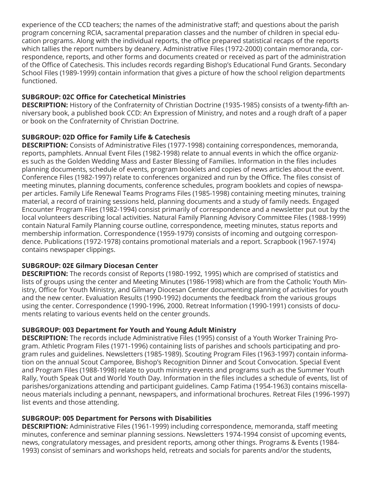experience of the CCD teachers; the names of the administrative staff; and questions about the parish program concerning RCIA, sacramental preparation classes and the number of children in special education programs. Along with the individual reports, the office prepared statistical recaps of the reports which tallies the report numbers by deanery. Administrative Files (1972-2000) contain memoranda, correspondence, reports, and other forms and documents created or received as part of the administration of the Office of Catechesis. This includes records regarding Bishop's Educational Fund Grants. Secondary School Files (1989-1999) contain information that gives a picture of how the school religion departments functioned.

## **SUBGROUP: 02C Office for Catechetical Ministries**

**DESCRIPTION:** History of the Confraternity of Christian Doctrine (1935-1985) consists of a twenty-fifth anniversary book, a published book CCD: An Expression of Ministry, and notes and a rough draft of a paper or book on the Confraternity of Christian Doctrine.

## **SUBGROUP: 02D Office for Family Life & Catechesis**

**DESCRIPTION:** Consists of Administrative Files (1977-1998) containing correspondences, memoranda, reports, pamphlets. Annual Event Files (1982-1998) relate to annual events in which the office organizes such as the Golden Wedding Mass and Easter Blessing of Families. Information in the files includes planning documents, schedule of events, program booklets and copies of news articles about the event. Conference Files (1982-1997) relate to conferences organized and run by the Office. The files consist of meeting minutes, planning documents, conference schedules, program booklets and copies of newspaper articles. Family Life Renewal Teams Programs Files (1985-1998) containing meeting minutes, training material, a record of training sessions held, planning documents and a study of family needs. Engaged Encounter Program Files (1982-1994) consist primarily of correspondence and a newsletter put out by the local volunteers describing local activities. Natural Family Planning Advisory Committee Files (1988-1999) contain Natural Family Planning course outline, correspondence, meeting minutes, status reports and membership information. Correspondence (1959-1979) consists of incoming and outgoing correspondence. Publications (1972-1978) contains promotional materials and a report. Scrapbook (1967-1974) contains newspaper clippings.

#### **SUBGROUP: 02E Gilmary Diocesan Center**

**DESCRIPTION:** The records consist of Reports (1980-1992, 1995) which are comprised of statistics and lists of groups using the center and Meeting Minutes (1986-1998) which are from the Catholic Youth Ministry, Office for Youth Ministry, and Gilmary Diocesan Center documenting planning of activities for youth and the new center. Evaluation Results (1990-1992) documents the feedback from the various groups using the center. Correspondence (1990-1996, 2000. Retreat Information (1990-1991) consists of documents relating to various events held on the center grounds.

## **SUBGROUP: 003 Department for Youth and Young Adult Ministry**

**DESCRIPTION:** The records include Administrative Files (1995) consist of a Youth Worker Training Program. Athletic Program Files (1971-1996) containing lists of parishes and schools participating and program rules and guidelines. Newsletters (1985-1989). Scouting Program Files (1963-1997) contain information on the annual Scout Camporee, Bishop's Recognition Dinner and Scout Convocation. Special Event and Program Files (1988-1998) relate to youth ministry events and programs such as the Summer Youth Rally, Youth Speak Out and World Youth Day. Information in the files includes a schedule of events, list of parishes/organizations attending and participant guidelines. Camp Fatima (1954-1963) contains miscellaneous materials including a pennant, newspapers, and informational brochures. Retreat Files (1996-1997) list events and those attending.

#### **SUBGROUP: 005 Department for Persons with Disabilities**

**DESCRIPTION:** Administrative Files (1961-1999) including correspondence, memoranda, staff meeting minutes, conference and seminar planning sessions. Newsletters 1974-1994 consist of upcoming events, news, congratulatory messages, and president reports, among other things. Programs & Events (1984- 1993) consist of seminars and workshops held, retreats and socials for parents and/or the students,